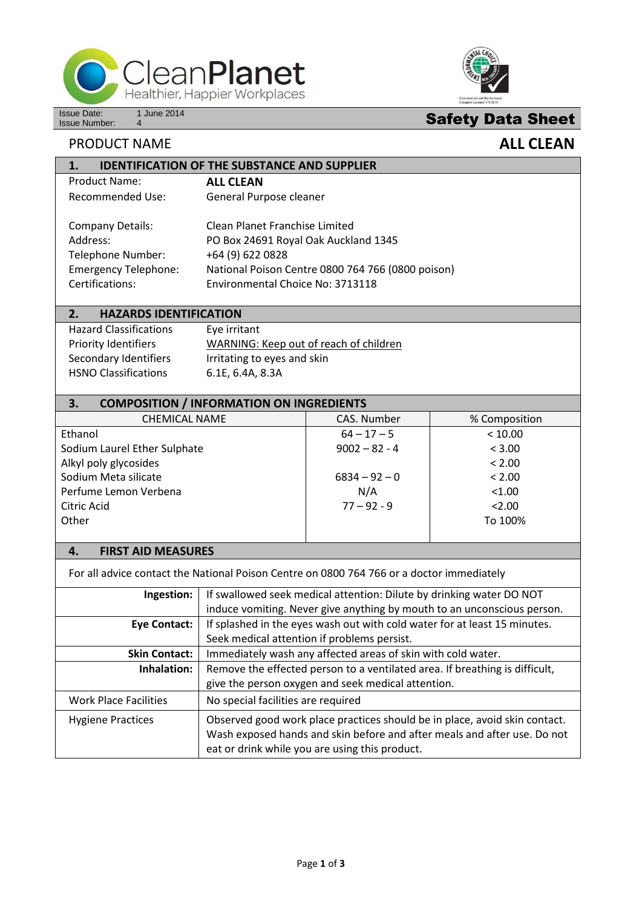



# **Safety Data Sheet**

## **PRODUCT NAME ALL CLEAN**

| <b>IDENTIFICATION OF THE SUBSTANCE AND SUPPLIER</b><br>1. |                                                   |  |
|-----------------------------------------------------------|---------------------------------------------------|--|
| <b>Product Name:</b>                                      | <b>ALL CLEAN</b>                                  |  |
| Recommended Use:                                          | General Purpose cleaner                           |  |
|                                                           |                                                   |  |
| <b>Company Details:</b>                                   | Clean Planet Franchise Limited                    |  |
| Address:                                                  | PO Box 24691 Royal Oak Auckland 1345              |  |
| Telephone Number:                                         | +64 (9) 622 0828                                  |  |
| <b>Emergency Telephone:</b>                               | National Poison Centre 0800 764 766 (0800 poison) |  |
| Certifications:                                           | Environmental Choice No: 3713118                  |  |

#### **2. HAZARDS IDENTIFICATION**

Hazard Classifications Eye irritant HSNO Classifications 6.1E, 6.4A, 8.3A

# Priority Identifiers WARNING: Keep out of reach of children Secondary Identifiers Irritating to eyes and skin

#### **3. COMPOSITION / INFORMATION ON INGREDIENTS**

| <b>CHEMICAL NAME</b>         | CAS. Number     | % Composition |
|------------------------------|-----------------|---------------|
| Ethanol                      | $64 - 17 - 5$   | < 10.00       |
| Sodium Laurel Ether Sulphate | $9002 - 82 - 4$ | < 3.00        |
| Alkyl poly glycosides        |                 | < 2.00        |
| Sodium Meta silicate         | $6834 - 92 - 0$ | < 2.00        |
| Perfume Lemon Verbena        | N/A             | < 1.00        |
| Citric Acid                  | $77 - 92 - 9$   | 2.00          |
| Other                        |                 | To 100%       |
|                              |                 |               |

### **4. FIRST AID MEASURES**

For all advice contact the National Poison Centre on 0800 764 766 or a doctor immediately

| Ingestion:                   | If swallowed seek medical attention: Dilute by drinking water DO NOT                                                                                                                                     |
|------------------------------|----------------------------------------------------------------------------------------------------------------------------------------------------------------------------------------------------------|
|                              | induce vomiting. Never give anything by mouth to an unconscious person.                                                                                                                                  |
| <b>Eye Contact:</b>          | If splashed in the eyes wash out with cold water for at least 15 minutes.                                                                                                                                |
|                              | Seek medical attention if problems persist.                                                                                                                                                              |
| <b>Skin Contact:</b>         | Immediately wash any affected areas of skin with cold water.                                                                                                                                             |
| Inhalation:                  | Remove the effected person to a ventilated area. If breathing is difficult,                                                                                                                              |
|                              | give the person oxygen and seek medical attention.                                                                                                                                                       |
| <b>Work Place Facilities</b> | No special facilities are required                                                                                                                                                                       |
| <b>Hygiene Practices</b>     | Observed good work place practices should be in place, avoid skin contact.<br>Wash exposed hands and skin before and after meals and after use. Do not<br>eat or drink while you are using this product. |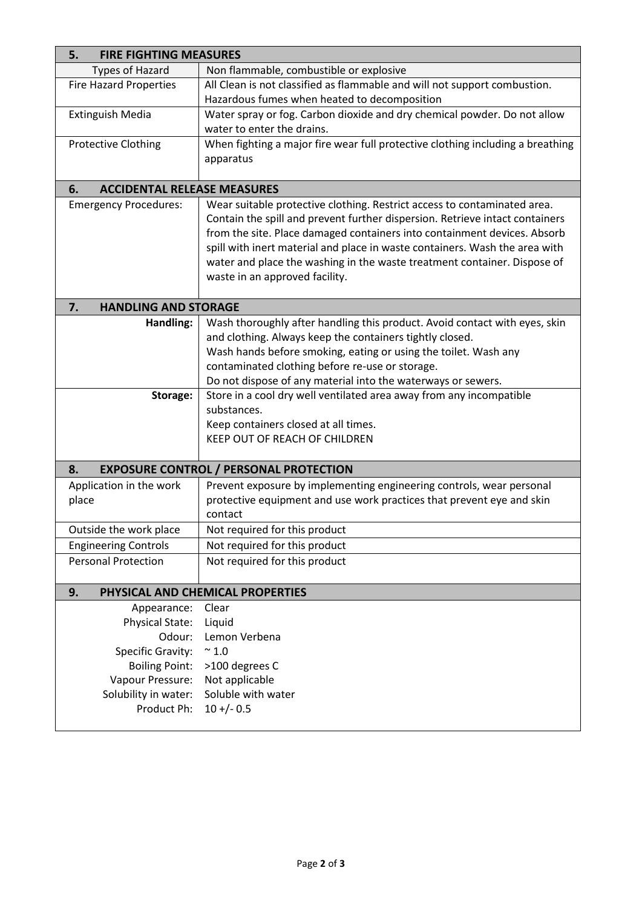| <b>FIRE FIGHTING MEASURES</b><br>5.      |                                                                                |  |  |  |
|------------------------------------------|--------------------------------------------------------------------------------|--|--|--|
| <b>Types of Hazard</b>                   | Non flammable, combustible or explosive                                        |  |  |  |
| <b>Fire Hazard Properties</b>            | All Clean is not classified as flammable and will not support combustion.      |  |  |  |
|                                          | Hazardous fumes when heated to decomposition                                   |  |  |  |
| Extinguish Media                         | Water spray or fog. Carbon dioxide and dry chemical powder. Do not allow       |  |  |  |
|                                          | water to enter the drains.                                                     |  |  |  |
| <b>Protective Clothing</b>               | When fighting a major fire wear full protective clothing including a breathing |  |  |  |
|                                          | apparatus                                                                      |  |  |  |
|                                          |                                                                                |  |  |  |
| <b>ACCIDENTAL RELEASE MEASURES</b><br>6. |                                                                                |  |  |  |
| <b>Emergency Procedures:</b>             | Wear suitable protective clothing. Restrict access to contaminated area.       |  |  |  |
|                                          | Contain the spill and prevent further dispersion. Retrieve intact containers   |  |  |  |
|                                          | from the site. Place damaged containers into containment devices. Absorb       |  |  |  |
|                                          | spill with inert material and place in waste containers. Wash the area with    |  |  |  |
|                                          | water and place the washing in the waste treatment container. Dispose of       |  |  |  |
|                                          | waste in an approved facility.                                                 |  |  |  |
|                                          |                                                                                |  |  |  |
| 7.<br><b>HANDLING AND STORAGE</b>        |                                                                                |  |  |  |
| Handling:                                | Wash thoroughly after handling this product. Avoid contact with eyes, skin     |  |  |  |
|                                          | and clothing. Always keep the containers tightly closed.                       |  |  |  |
|                                          | Wash hands before smoking, eating or using the toilet. Wash any                |  |  |  |
|                                          | contaminated clothing before re-use or storage.                                |  |  |  |
|                                          | Do not dispose of any material into the waterways or sewers.                   |  |  |  |
| Storage:                                 | Store in a cool dry well ventilated area away from any incompatible            |  |  |  |
|                                          | substances.                                                                    |  |  |  |
|                                          | Keep containers closed at all times.                                           |  |  |  |
|                                          | KEEP OUT OF REACH OF CHILDREN                                                  |  |  |  |
| 8.                                       |                                                                                |  |  |  |
|                                          | <b>EXPOSURE CONTROL / PERSONAL PROTECTION</b>                                  |  |  |  |
| Application in the work                  | Prevent exposure by implementing engineering controls, wear personal           |  |  |  |
| place                                    | protective equipment and use work practices that prevent eye and skin          |  |  |  |
|                                          | contact                                                                        |  |  |  |
| Outside the work place                   | Not required for this product                                                  |  |  |  |
| <b>Engineering Controls</b>              | Not required for this product                                                  |  |  |  |
| <b>Personal Protection</b>               | Not required for this product                                                  |  |  |  |
|                                          |                                                                                |  |  |  |
| 9.                                       | PHYSICAL AND CHEMICAL PROPERTIES                                               |  |  |  |
| Appearance:                              | Clear                                                                          |  |  |  |
| Physical State:                          | Liquid                                                                         |  |  |  |
| Odour:                                   | Lemon Verbena                                                                  |  |  |  |
| <b>Specific Gravity:</b>                 | $\sim 1.0$                                                                     |  |  |  |
| <b>Boiling Point:</b>                    | >100 degrees C                                                                 |  |  |  |
| Vapour Pressure:                         | Not applicable                                                                 |  |  |  |
| Solubility in water:                     | Soluble with water                                                             |  |  |  |
| Product Ph:                              | $10 + (-0.5)$                                                                  |  |  |  |
|                                          |                                                                                |  |  |  |